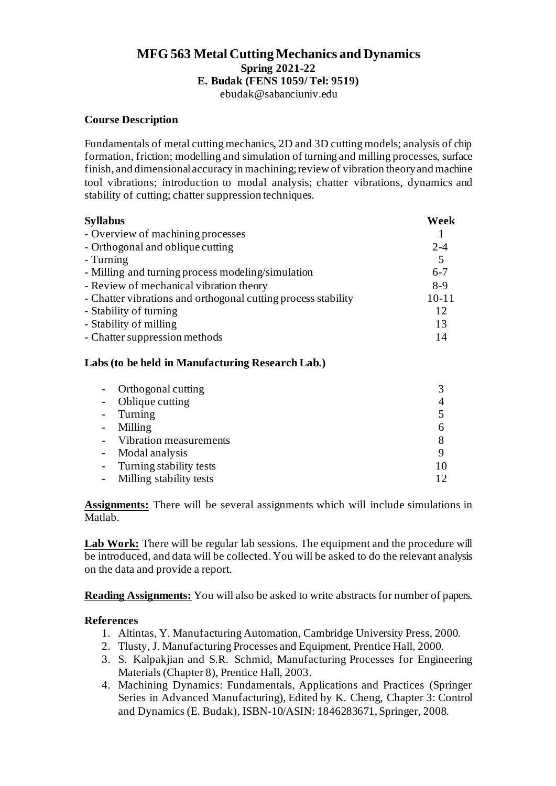# **MFG 563 Metal Cutting Mechanics and Dynamics Spring 2021-22 E. Budak (FENS 1059/ Tel: 9519)**

ebudak@sabanciuniv.edu

## **Course Description**

Fundamentals of metal cutting mechanics, 2D and 3D cutting models; analysis of chip formation, friction; modelling and simulation of turning and milling processes, surface finish, and dimensional accuracy in machining; review of vibration theory and machine tool vibrations; introduction to modal analysis; chatter vibrations, dynamics and stability of cutting; chatter suppression techniques.

| <b>Syllabus</b>                                               | Week      |  |
|---------------------------------------------------------------|-----------|--|
| - Overview of machining processes                             |           |  |
| - Orthogonal and oblique cutting                              | $2 - 4$   |  |
| - Turning                                                     | 5         |  |
| - Milling and turning process modeling/simulation             | $6 - 7$   |  |
| - Review of mechanical vibration theory                       | $8-9$     |  |
| - Chatter vibrations and orthogonal cutting process stability | $10 - 11$ |  |
| - Stability of turning                                        | 12        |  |
| - Stability of milling                                        | 13        |  |
| - Chatter suppression methods                                 | 14        |  |
|                                                               |           |  |

#### **Labs (to be held in Manufacturing Research Lab.)**

| Orthogonal cutting      |  |
|-------------------------|--|
| Oblique cutting         |  |
| Turning                 |  |
| Milling                 |  |
| Vibration measurements  |  |
| Modal analysis          |  |
| Turning stability tests |  |
| Milling stability tests |  |

**Assignments:** There will be several assignments which will include simulations in Matlab.

Lab Work: There will be regular lab sessions. The equipment and the procedure will be introduced, and data will be collected. You will be asked to do the relevant analysis on the data and provide a report.

**Reading Assignments:** You will also be asked to write abstracts for number of papers.

## **References**

- 1. Altintas, Y. Manufacturing Automation, Cambridge University Press, 2000.
- 2. Tlusty, J. Manufacturing Processes and Equipment, Prentice Hall, 2000.
- 3. S. Kalpakjian and S.R. Schmid, Manufacturing Processes for Engineering Materials (Chapter 8), Prentice Hall, 2003.
- 4. Machining Dynamics: Fundamentals, Applications and Practices (Springer Series in Advanced Manufacturing), Edited by K. Cheng, Chapter 3: Control and Dynamics (E. Budak), ISBN-10/ASIN: 1846283671, Springer, 2008.